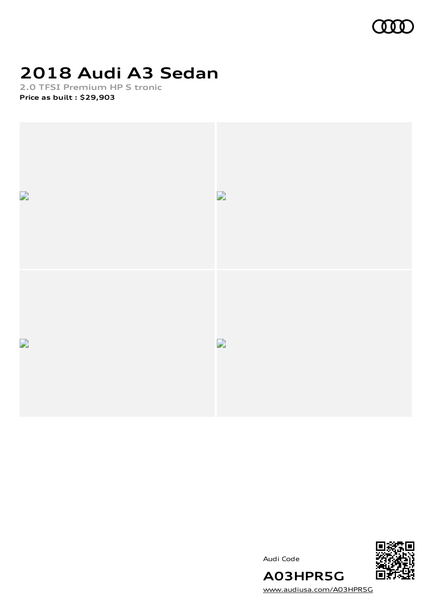

# **2018 Audi A3 Sedan**

**2.0 TFSI Premium HP S tronic Price as built [:](#page-10-0) \$29,903**



Audi Code



[www.audiusa.com/A03HPR5G](https://www.audiusa.com/A03HPR5G)

**A03HPR5G**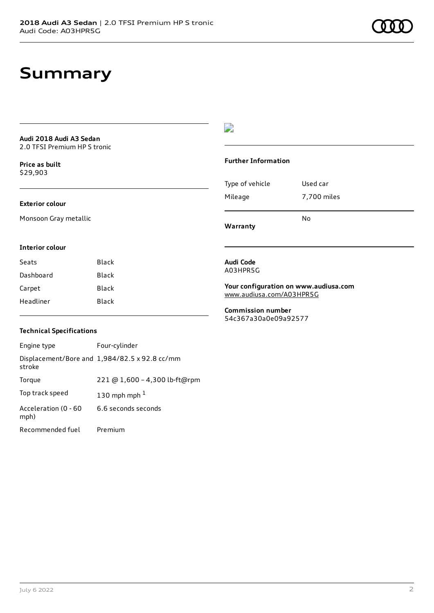# **Summary**

**Audi 2018 Audi A3 Sedan** 2.0 TFSI Premium HP S tronic

**Price as buil[t](#page-10-0)** \$29,903

### **Exterior colour**

Monsoon Gray metallic

### $\overline{\phantom{a}}$

### **Further Information**

| Type of vehicle | Used car    |
|-----------------|-------------|
| Mileage         | 7,700 miles |
|                 | N٥          |

**Warranty**

#### **Interior colour**

| Seats     | Black |
|-----------|-------|
| Dashboard | Black |
| Carpet    | Black |
| Headliner | Black |

#### **Audi Code** A03HPR5G

**Your configuration on www.audiusa.com** [www.audiusa.com/A03HPR5G](https://www.audiusa.com/A03HPR5G)

**Commission number** 54c367a30a0e09a92577

### **Technical Specifications**

| Engine type                  | Four-cylinder                                 |
|------------------------------|-----------------------------------------------|
| stroke                       | Displacement/Bore and 1,984/82.5 x 92.8 cc/mm |
| Torque                       | 221 @ 1,600 - 4,300 lb-ft@rpm                 |
| Top track speed              | 130 mph mph $1$                               |
| Acceleration (0 - 60<br>mph) | 6.6 seconds seconds                           |
| Recommended fuel             | Premium                                       |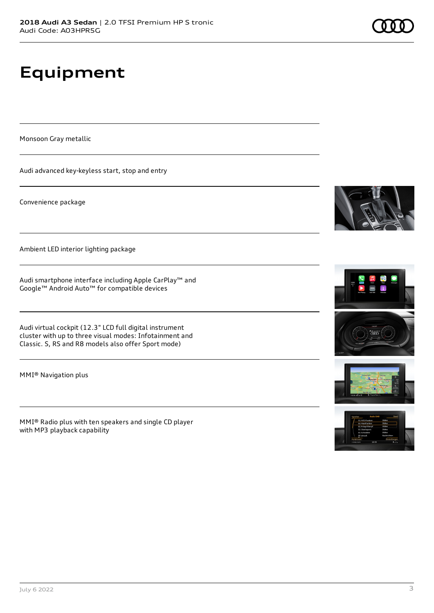# **Equipment**

Monsoon Gray metallic

Audi advanced key-keyless start, stop and entry

Convenience package

Ambient LED interior lighting package

Audi smartphone interface including Apple CarPlay™ and Google™ Android Auto™ for compatible devices

Audi virtual cockpit (12.3" LCD full digital instrument cluster with up to three visual modes: Infotainment and Classic. S, RS and R8 models also offer Sport mode)

MMI® Navigation plus

MMI® Radio plus with ten speakers and single CD player with MP3 playback capability







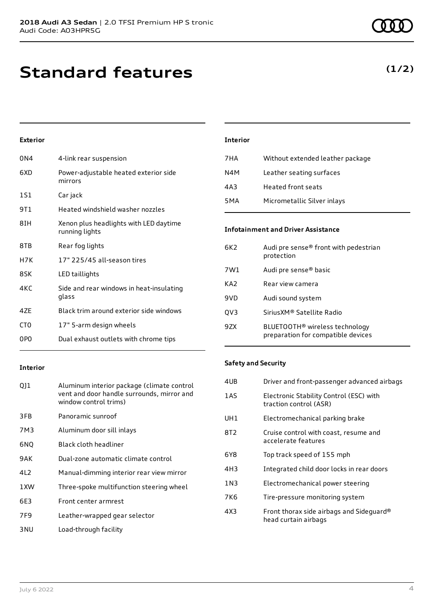# **Standard features**

### **Exterior**

| 0N4             | 4-link rear suspension                                   |
|-----------------|----------------------------------------------------------|
| 6XD             | Power-adjustable heated exterior side<br>mirrors         |
| 1S1             | Car jack                                                 |
| 9T1             | Heated windshield washer nozzles                         |
| 8IH             | Xenon plus headlights with LED daytime<br>running lights |
| 8TB             | Rear fog lights                                          |
| H7K             | 17" 225/45 all-season tires                              |
| 8SK             | LED taillights                                           |
| 4KC             | Side and rear windows in heat-insulating<br>glass        |
| 4ZE             | Black trim around exterior side windows                  |
| CT <sub>0</sub> | 17" 5-arm design wheels                                  |
| 0PO             | Dual exhaust outlets with chrome tips                    |

# **Interior**

| 7HA | Without extended leather package |
|-----|----------------------------------|
| N4M | Leather seating surfaces         |
| 4A3 | <b>Heated front seats</b>        |
| 5MA | Micrometallic Silver inlays      |

### **Infotainment and Driver Assistance**

| 6K2 | Audi pre sense® front with pedestrian<br>protection                              |
|-----|----------------------------------------------------------------------------------|
| 7W1 | Audi pre sense <sup>®</sup> basic                                                |
| KA2 | Rear view camera                                                                 |
| 9VD | Audi sound system                                                                |
| QV3 | Sirius XM® Satellite Radio                                                       |
| 9ZX | BLUETOOTH <sup>®</sup> wireless technology<br>preparation for compatible devices |

### **Interior**

| Q]1             | Aluminum interior package (climate control<br>vent and door handle surrounds, mirror and<br>window control trims) |
|-----------------|-------------------------------------------------------------------------------------------------------------------|
| 3FB             | Panoramic sunroof                                                                                                 |
| 7M3             | Aluminum door sill inlays                                                                                         |
| 6NQ             | Black cloth headliner                                                                                             |
| 9AK             | Dual-zone automatic climate control                                                                               |
| 4L <sub>2</sub> | Manual-dimming interior rear view mirror                                                                          |
| 1 XW            | Three-spoke multifunction steering wheel                                                                          |
| 6E3             | Front center armrest                                                                                              |
| 7F9             | Leather-wrapped gear selector                                                                                     |
| 3 NU            | Load-through facility                                                                                             |

### **Safety and Security**

| 4UB | Driver and front-passenger advanced airbags                       |
|-----|-------------------------------------------------------------------|
| 1AS | Electronic Stability Control (ESC) with<br>traction control (ASR) |
| UH1 | Electromechanical parking brake                                   |
| 8T2 | Cruise control with coast, resume and<br>accelerate features      |
| 6Y8 | Top track speed of 155 mph                                        |
| 4H3 | Integrated child door locks in rear doors                         |
| 1N3 | Electromechanical power steering                                  |
| 7K6 | Tire-pressure monitoring system                                   |
| 4X3 | Front thorax side airbags and Sideguard®<br>head curtain airbags  |
|     |                                                                   |

### **(1/2)**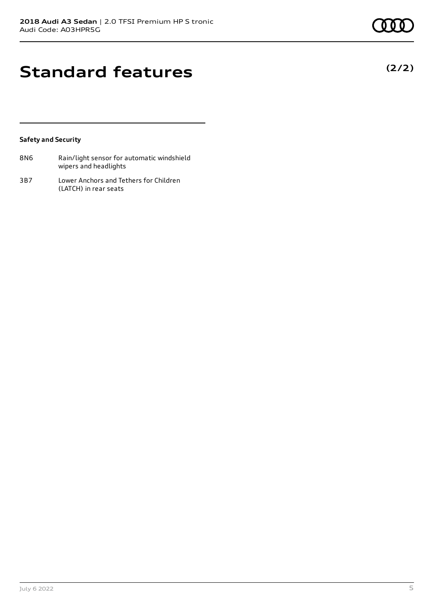**(2/2)**

## **Standard features**

### **Safety and Security**

| 8N6 | Rain/light sensor for automatic windshield |
|-----|--------------------------------------------|
|     | wipers and headlights                      |

3B7 Lower Anchors and Tethers for Children (LATCH) in rear seats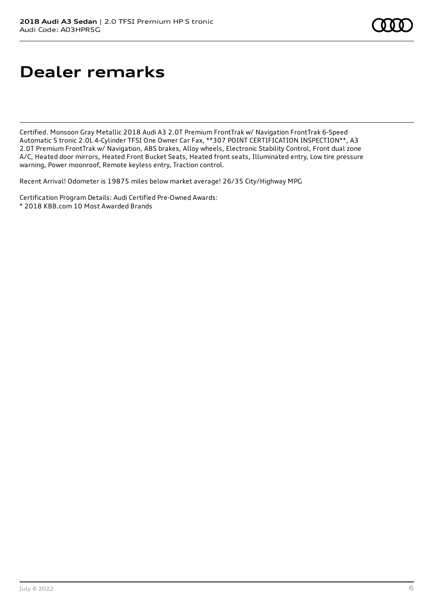# **Dealer remarks**

Certified. Monsoon Gray Metallic 2018 Audi A3 2.0T Premium FrontTrak w/ Navigation FrontTrak 6-Speed Automatic S tronic 2.0L 4-Cylinder TFSI One Owner Car Fax, \*\*307 POINT CERTIFICATION INSPECTION\*\*, A3 2.0T Premium FrontTrak w/ Navigation, ABS brakes, Alloy wheels, Electronic Stability Control, Front dual zone A/C, Heated door mirrors, Heated Front Bucket Seats, Heated front seats, Illuminated entry, Low tire pressure warning, Power moonroof, Remote keyless entry, Traction control.

Recent Arrival! Odometer is 19875 miles below market average! 26/35 City/Highway MPG

Certification Program Details: Audi Certified Pre-Owned Awards:

\* 2018 KBB.com 10 Most Awarded Brands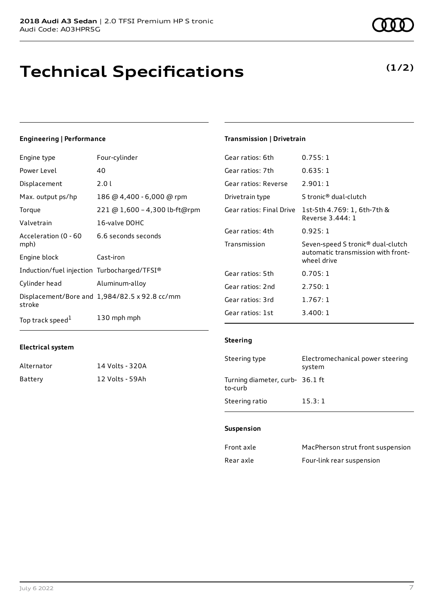# **Technical Specifications**

### **Engineering | Performance**

| Engine type                                 | Four-cylinder                                 | Gear ratios: 6th         | 0.755:1                                 |
|---------------------------------------------|-----------------------------------------------|--------------------------|-----------------------------------------|
| Power Level                                 | 40                                            | Gear ratios: 7th         | 0.635:1                                 |
| Displacement                                | 2.01                                          | Gear ratios: Reverse     | 2.901:1                                 |
| Max. output ps/hp                           | 186 @ 4,400 - 6,000 @ rpm                     | Drivetrain type          | S tronic <sup>®</sup> dual-clutch       |
| Torque                                      | 221 @ 1,600 - 4,300 lb-ft@rpm                 | Gear ratios: Final Drive | 1st-5th 4.769: 1, 6th-7t                |
| Valvetrain                                  | 16-valve DOHC                                 |                          | Reverse 3.444: 1                        |
| Acceleration (0 - 60                        | 6.6 seconds seconds                           | Gear ratios: 4th         | 0.925:1                                 |
| mph)                                        |                                               | Transmission             | Seven-speed S tronic® du                |
| Engine block                                | Cast-iron                                     |                          | automatic transmission y<br>wheel drive |
| Induction/fuel injection Turbocharged/TFSI® |                                               | Gear ratios: 5th         | 0.705:1                                 |
| Cylinder head                               | Aluminum-alloy                                | Gear ratios: 2nd         | 2.750:1                                 |
| stroke                                      | Displacement/Bore and 1,984/82.5 x 92.8 cc/mm | Gear ratios: 3rd         | 1.767:1                                 |
| Top track speed <sup>1</sup>                | 130 mph mph                                   | Gear ratios: 1st         | 3.400:1                                 |

### **Electrical system**

| Alternator | 14 Volts - 320A |
|------------|-----------------|
| Battery    | 12 Volts - 59Ah |

### **Transmission | Drivetrain**

| Gear Tacios: Och         | <u>U. Z 23. T</u>                                                                                  |
|--------------------------|----------------------------------------------------------------------------------------------------|
| Gear ratios: 7th         | 0.635:1                                                                                            |
| Gear ratios: Reverse     | 2.901:1                                                                                            |
| Drivetrain type          | S tronic® dual-clutch                                                                              |
| Gear ratios: Final Drive | 1st-5th 4.769: 1, 6th-7th &<br>Reverse 3.444: 1                                                    |
| Gear ratios: 4th         | 0.925:1                                                                                            |
| Transmission             | Seven-speed S tronic <sup>®</sup> dual-clutch<br>automatic transmission with front-<br>wheel drive |
| Gear ratios: 5th         | 0.705:1                                                                                            |
| Gear ratios: 2nd         | 2.750:1                                                                                            |
| Gear ratios: 3rd         | 1.767:1                                                                                            |
| Gear ratios: 1st         | 3.400:1                                                                                            |

### **Steering**

| Steering type                              | Electromechanical power steering<br>system |
|--------------------------------------------|--------------------------------------------|
| Turning diameter, curb- 36.1 ft<br>to-curb |                                            |
| Steering ratio                             | 15.3:1                                     |

#### **Suspension**

| Front axle | MacPherson strut front suspension |
|------------|-----------------------------------|
| Rear axle  | Four-link rear suspension         |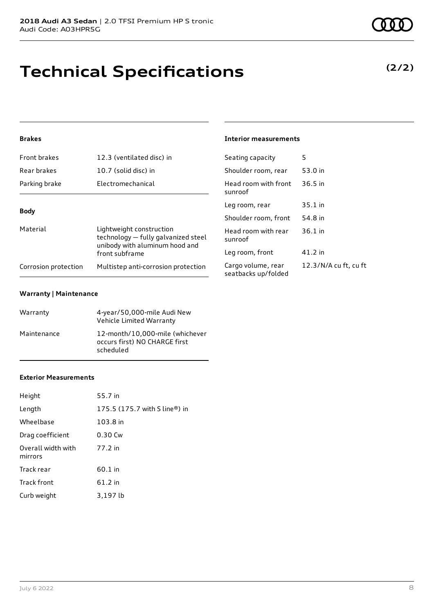# **Technical Specifications**

### **Brakes**

| Front brakes<br>12.3 (ventilated disc) in |                                                                                                   | Seating capacity                       |  |
|-------------------------------------------|---------------------------------------------------------------------------------------------------|----------------------------------------|--|
| Rear brakes                               | 10.7 (solid disc) in                                                                              | Shoulder room, re                      |  |
| Parking brake                             | Electromechanical                                                                                 | Head room with f<br>sunroof            |  |
| <b>Body</b>                               |                                                                                                   | Leg room, rear                         |  |
|                                           |                                                                                                   | Shoulder room, fr                      |  |
| Material                                  | Lightweight construction<br>technology - fully galvanized steel<br>unibody with aluminum hood and | Head room with r<br>sunroof            |  |
|                                           | front subframe                                                                                    | Leg room, front                        |  |
| Corrosion protection                      | Multistep anti-corrosion protection                                                               | Cargo volume, rea<br>seatbacks un/fold |  |

### **Warranty | Maintenance**

| Warranty    | 4-year/50,000-mile Audi New<br>Vehicle Limited Warranty                       |
|-------------|-------------------------------------------------------------------------------|
| Maintenance | 12-month/10,000-mile (whichever<br>occurs first) NO CHARGE first<br>scheduled |

#### **Exterior Measurements**

| Height                        | 55.7 in                       |
|-------------------------------|-------------------------------|
| Length                        | 175.5 (175.7 with S line®) in |
| Wheelbase                     | 103.8 in                      |
| Drag coefficient              | 0.30 Cw                       |
| Overall width with<br>mirrors | 77.2 in                       |
| Track rear                    | 60.1 in                       |
| <b>Track front</b>            | 61.2 in                       |
| Curb weight                   | 3,197 lb                      |

### **Interior measurements**

| Seating capacity                          | 5                     |
|-------------------------------------------|-----------------------|
| Shoulder room, rear                       | 53.0 in               |
| Head room with front<br>sunroof           | $36.5$ in             |
| Leg room, rear                            | $35.1$ in             |
| Shoulder room, front                      | 54.8 in               |
| Head room with rear<br>sunroof            | $36.1$ in             |
| Leg room, front                           | 41.2 in               |
| Cargo volume, rear<br>seatbacks up/folded | 12.3/N/A cu ft, cu ft |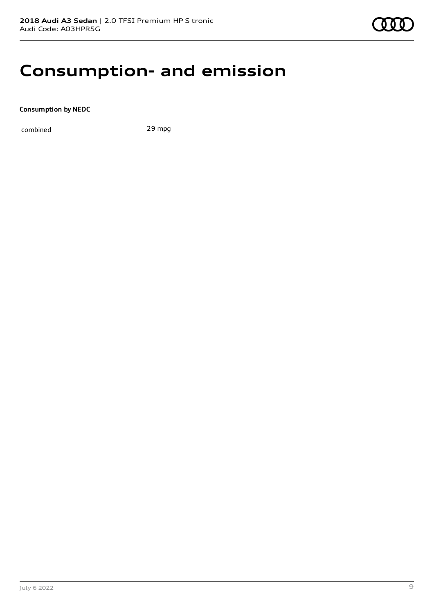### **Consumption- and emission**

**Consumption by NEDC**

combined 29 mpg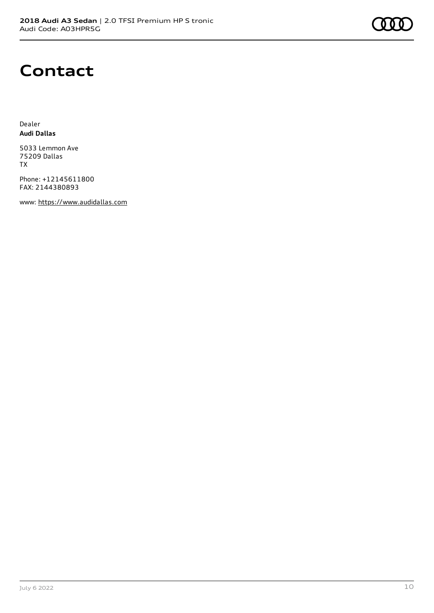## **Contact**

Dealer **Audi Dallas**

5033 Lemmon Ave 75209 Dallas TX

Phone: +12145611800 FAX: 2144380893

www: [https://www.audidallas.com](https://www.audidallas.com/)